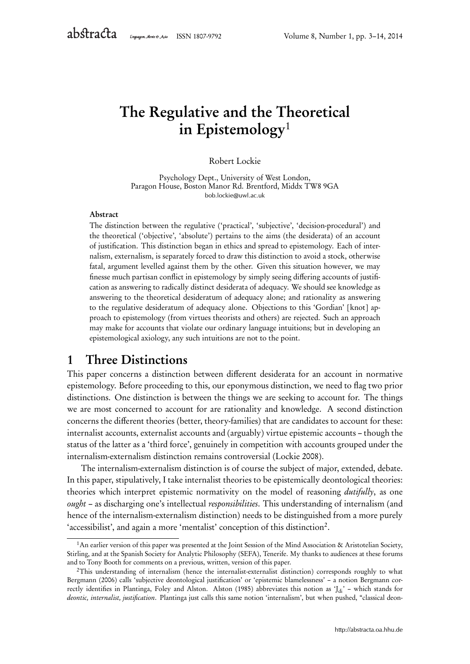# The Regulative and the Theoretical in Epistemology<sup>1</sup>

Robert Lockie

Psychology Dept., University of West London, Paragon House, Boston Manor Rd. Brentford, Middx TW8 9GA bob.lockie@uwl.ac.uk

#### Abstract

The distinction between the regulative ('practical', 'subjective', 'decision-procedural') and the theoretical ('objective', 'absolute') pertains to the aims (the desiderata) of an account of justification. This distinction began in ethics and spread to epistemology. Each of internalism, externalism, is separately forced to draw this distinction to avoid a stock, otherwise fatal, argument levelled against them by the other. Given this situation however, we may finesse much partisan conflict in epistemology by simply seeing differing accounts of justification as answering to radically distinct desiderata of adequacy. We should see knowledge as answering to the theoretical desideratum of adequacy alone; and rationality as answering to the regulative desideratum of adequacy alone. Objections to this 'Gordian' [knot] approach to epistemology (from virtues theorists and others) are rejected. Such an approach may make for accounts that violate our ordinary language intuitions; but in developing an epistemological axiology, any such intuitions are not to the point.

## 1 Three Distinctions

This paper concerns a distinction between different desiderata for an account in normative epistemology. Before proceeding to this, our eponymous distinction, we need to flag two prior distinctions. One distinction is between the things we are seeking to account for. The things we are most concerned to account for are rationality and knowledge. A second distinction concerns the different theories (better, theory-families) that are candidates to account for these: internalist accounts, externalist accounts and (arguably) virtue epistemic accounts – though the status of the latter as a 'third force', genuinely in competition with accounts grouped under the internalism-externalism distinction remains controversial (Lockie 2008).

The internalism-externalism distinction is of course the subject of major, extended, debate. In this paper, stipulatively, I take internalist theories to be epistemically deontological theories: theories which interpret epistemic normativity on the model of reasoning *dutifully*, as one ought - as discharging one's intellectual responsibilities. This understanding of internalism (and hence of the internalism-externalism distinction) needs to be distinguished from a more purely 'accessibilist', and again a more 'mentalist' conception of this distinction<sup>2</sup>.

<sup>&</sup>lt;sup>1</sup>An earlier version of this paper was presented at the Joint Session of the Mind Association & Aristotelian Society, Stirling, and at the Spanish Society for Analytic Philosophy (SEFA), Tenerife. My thanks to audiences at these forums and to Tony Booth for comments on a previous, written, version of this paper.

<sup>2</sup>This understanding of internalism (hence the internalist-externalist distinction) corresponds roughly to what Bergmann (2006) calls 'subjective deontological justification' or 'epistemic blamelessness' – a notion Bergmann correctly identifies in Plantinga, Foley and Alston. Alston (1985) abbreviates this notion as 'J<sub>di</sub>' - which stands for deontic, internalist, justification. Plantinga just calls this same notion 'internalism', but when pushed, "classical deon-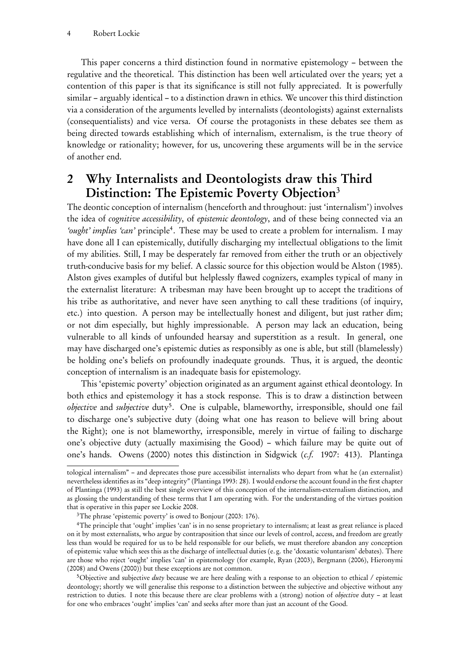This paper concerns a third distinction found in normative epistemology – between the regulative and the theoretical. This distinction has been well articulated over the years; yet a contention of this paper is that its significance is still not fully appreciated. It is powerfully similar – arguably identical – to a distinction drawn in ethics. We uncover this third distinction via a consideration of the arguments levelled by internalists (deontologists) against externalists (consequentialists) and vice versa. Of course the protagonists in these debates see them as being directed towards establishing which of internalism, externalism, is the true theory of knowledge or rationality; however, for us, uncovering these arguments will be in the service of another end.

# 2 Why Internalists and Deontologists draw this Third Distinction: The Epistemic Poverty Objection<sup>3</sup>

The deontic conception of internalism (henceforth and throughout: just 'internalism') involves the idea of *cognitive accessibility*, of *epistemic deontology*, and of these being connected via an 'ought' implies 'can' principle<sup>4</sup>. These may be used to create a problem for internalism. I may have done all I can epistemically, dutifully discharging my intellectual obligations to the limit of my abilities. Still, I may be desperately far removed from either the truth or an objectively truth-conducive basis for my belief. A classic source for this objection would be Alston (1985). Alston gives examples of dutiful but helplessly flawed cognizers, examples typical of many in the externalist literature: A tribesman may have been brought up to accept the traditions of his tribe as authoritative, and never have seen anything to call these traditions (of inquiry, etc.) into question. A person may be intellectually honest and diligent, but just rather dim; or not dim especially, but highly impressionable. A person may lack an education, being vulnerable to all kinds of unfounded hearsay and superstition as a result. In general, one may have discharged one's epistemic duties as responsibly as one is able, but still (blamelessly) be holding one's beliefs on profoundly inadequate grounds. Thus, it is argued, the deontic conception of internalism is an inadequate basis for epistemology.

This 'epistemic poverty' objection originated as an argument against ethical deontology. In both ethics and epistemology it has a stock response. This is to draw a distinction between objective and subjective duty<sup>5</sup>. One is culpable, blameworthy, irresponsible, should one fail to discharge one's subjective duty (doing what one has reason to believe will bring about the Right); one is not blameworthy, irresponsible, merely in virtue of failing to discharge one's objective duty (actually maximising the Good) – which failure may be quite out of one's hands. Owens (2000) notes this distinction in Sidgwick (c.f. 1907: 413). Plantinga

tological internalism" – and deprecates those pure accessibilist internalists who depart from what he (an externalist) nevertheless identifies as its "deep integrity" (Plantinga 1993: 28). I would endorse the account found in the first chapter of Plantinga (1993) as still the best single overview of this conception of the internalism-externalism distinction, and as glossing the understanding of these terms that I am operating with. For the understanding of the virtues position that is operative in this paper see Lockie 2008.

<sup>&</sup>lt;sup>3</sup>The phrase 'epistemic poverty' is owed to Bonjour (2003: 176).

<sup>4</sup>The principle that 'ought' implies 'can' is in no sense proprietary to internalism; at least as great reliance is placed on it by most externalists, who argue by contraposition that since our levels of control, access, and freedom are greatly less than would be required for us to be held responsible for our beliefs, we must therefore abandon any conception of epistemic value which sees this as the discharge of intellectual duties (e. g. the 'doxastic voluntarism' debates). There are those who reject 'ought' implies 'can' in epistemology (for example, Ryan (2003), Bergmann (2006), Hieronymi (2008) and Owens (2000)) but these exceptions are not common.

<sup>&</sup>lt;sup>5</sup>Objective and subjective *duty* because we are here dealing with a response to an objection to ethical / epistemic deontology; shortly we will generalise this response to a distinction between the subjective and objective without any restriction to duties. I note this because there are clear problems with a (strong) notion of *objective* duty – at least for one who embraces 'ought' implies 'can' and seeks after more than just an account of the Good.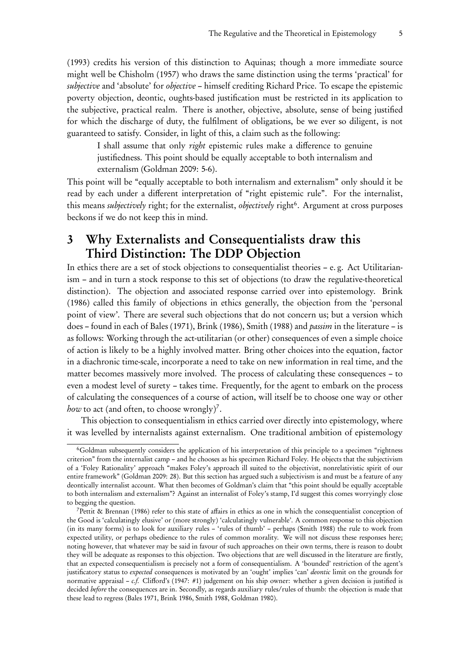(1993) credits his version of this distinction to Aquinas; though a more immediate source might well be Chisholm (1957) who draws the same distinction using the terms 'practical' for subjective and 'absolute' for *objective* – himself crediting Richard Price. To escape the epistemic poverty objection, deontic, oughts-based justification must be restricted in its application to the subjective, practical realm. There is another, objective, absolute, sense of being justified for which the discharge of duty, the fulfilment of obligations, be we ever so diligent, is not guaranteed to satisfy. Consider, in light of this, a claim such as the following:

I shall assume that only *right* epistemic rules make a difference to genuine justifiedness. This point should be equally acceptable to both internalism and externalism (Goldman 2009: 5-6).

This point will be "equally acceptable to both internalism and externalism" only should it be read by each under a different interpretation of "right epistemic rule". For the internalist, this means *subjectively* right; for the externalist, *objectively* right<sup>6</sup>. Argument at cross purposes beckons if we do not keep this in mind.

# 3 Why Externalists and Consequentialists draw this Third Distinction: The DDP Objection

In ethics there are a set of stock objections to consequentialist theories – e. g. Act Utilitarianism – and in turn a stock response to this set of objections (to draw the regulative-theoretical distinction). The objection and associated response carried over into epistemology. Brink (1986) called this family of objections in ethics generally, the objection from the 'personal point of view'. There are several such objections that do not concern us; but a version which does – found in each of Bales (1971), Brink (1986), Smith (1988) and passim in the literature – is as follows: Working through the act-utilitarian (or other) consequences of even a simple choice of action is likely to be a highly involved matter. Bring other choices into the equation, factor in a diachronic time-scale, incorporate a need to take on new information in real time, and the matter becomes massively more involved. The process of calculating these consequences – to even a modest level of surety – takes time. Frequently, for the agent to embark on the process of calculating the consequences of a course of action, will itself be to choose one way or other *how* to act (and often, to choose wrongly)<sup>7</sup>.

This objection to consequentialism in ethics carried over directly into epistemology, where it was levelled by internalists against externalism. One traditional ambition of epistemology

<sup>6</sup>Goldman subsequently considers the application of his interpretation of this principle to a specimen "rightness criterion" from the internalist camp – and he chooses as his specimen Richard Foley. He objects that the subjectivism of a 'Foley Rationality' approach "makes Foley's approach ill suited to the objectivist, nonrelativistic spirit of our entire framework" (Goldman 2009: 28). But this section has argued such a subjectivism is and must be a feature of any deontically internalist account. What then becomes of Goldman's claim that "this point should be equally acceptable to both internalism and externalism"? Against an internalist of Foley's stamp, I'd suggest this comes worryingly close to begging the question.

<sup>7</sup>Pettit & Brennan (1986) refer to this state of affairs in ethics as one in which the consequentialist conception of the Good is 'calculatingly elusive' or (more strongly) 'calculatingly vulnerable'. A common response to this objection (in its many forms) is to look for auxiliary rules – 'rules of thumb' – perhaps (Smith 1988) the rule to work from expected utility, or perhaps obedience to the rules of common morality. We will not discuss these responses here; noting however, that whatever may be said in favour of such approaches on their own terms, there is reason to doubt they will be adequate as responses to this objection. Two objections that are well discussed in the literature are firstly, that an expected consequentialism is precisely not a form of consequentialism. A 'bounded' restriction of the agent's justificatory status to expected consequences is motivated by an 'ought' implies 'can' deontic limit on the grounds for normative appraisal – c.f. Clifford's (1947: #1) judgement on his ship owner: whether a given decision is justified is decided before the consequences are in. Secondly, as regards auxiliary rules/rules of thumb: the objection is made that these lead to regress (Bales 1971, Brink 1986, Smith 1988, Goldman 1980).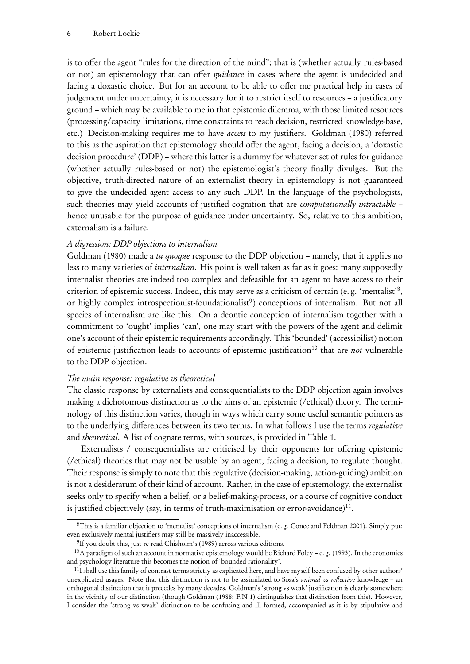is to offer the agent "rules for the direction of the mind"; that is (whether actually rules-based or not) an epistemology that can offer guidance in cases where the agent is undecided and facing a doxastic choice. But for an account to be able to offer me practical help in cases of judgement under uncertainty, it is necessary for it to restrict itself to resources – a justificatory ground – which may be available to me in that epistemic dilemma, with those limited resources (processing/capacity limitations, time constraints to reach decision, restricted knowledge-base, etc.) Decision-making requires me to have access to my justifiers. Goldman (1980) referred to this as the aspiration that epistemology should offer the agent, facing a decision, a 'doxastic decision procedure' (DDP) – where this latter is a dummy for whatever set of rules for guidance (whether actually rules-based or not) the epistemologist's theory finally divulges. But the objective, truth-directed nature of an externalist theory in epistemology is not guaranteed to give the undecided agent access to any such DDP. In the language of the psychologists, such theories may yield accounts of justified cognition that are *computationally intractable* hence unusable for the purpose of guidance under uncertainty. So, relative to this ambition, externalism is a failure.

### A digression: DDP objections to internalism

Goldman (1980) made a tu quoque response to the DDP objection – namely, that it applies no less to many varieties of internalism. His point is well taken as far as it goes: many supposedly internalist theories are indeed too complex and defeasible for an agent to have access to their criterion of epistemic success. Indeed, this may serve as a criticism of certain (e. g. 'mentalist'<sup>8</sup> , or highly complex introspectionist-foundationalist<sup>9</sup>) conceptions of internalism. But not all species of internalism are like this. On a deontic conception of internalism together with a commitment to 'ought' implies 'can', one may start with the powers of the agent and delimit one's account of their epistemic requirements accordingly. This 'bounded' (accessibilist) notion of epistemic justification leads to accounts of epistemic justification<sup>10</sup> that are not vulnerable to the DDP objection.

#### The main response: regulative vs theoretical

The classic response by externalists and consequentialists to the DDP objection again involves making a dichotomous distinction as to the aims of an epistemic (/ethical) theory. The terminology of this distinction varies, though in ways which carry some useful semantic pointers as to the underlying differences between its two terms. In what follows I use the terms regulative and theoretical. A list of cognate terms, with sources, is provided in Table 1.

Externalists / consequentialists are criticised by their opponents for offering epistemic (/ethical) theories that may not be usable by an agent, facing a decision, to regulate thought. Their response is simply to note that this regulative (decision-making, action-guiding) ambition is not a desideratum of their kind of account. Rather, in the case of epistemology, the externalist seeks only to specify when a belief, or a belief-making-process, or a course of cognitive conduct is justified objectively (say, in terms of truth-maximisation or error-avoidance) $^{\rm 11}.$ 

<sup>8</sup>This is a familiar objection to 'mentalist' conceptions of internalism (e. g. Conee and Feldman 2001). Simply put: even exclusively mental justifiers may still be massively inaccessible.

<sup>9</sup> If you doubt this, just re-read Chisholm's (1989) across various editions.

 $10A$  paradigm of such an account in normative epistemology would be Richard Foley – e.g. (1993). In the economics and psychology literature this becomes the notion of 'bounded rationality'.

<sup>11</sup>I shall use this family of contrast terms strictly as explicated here, and have myself been confused by other authors' unexplicated usages. Note that this distinction is not to be assimilated to Sosa's *animal vs reflective* knowledge – an orthogonal distinction that it precedes by many decades. Goldman's 'strong vs weak' justification is clearly somewhere in the vicinity of our distinction (though Goldman (1988: F.N 1) distinguishes that distinction from this). However, I consider the 'strong vs weak' distinction to be confusing and ill formed, accompanied as it is by stipulative and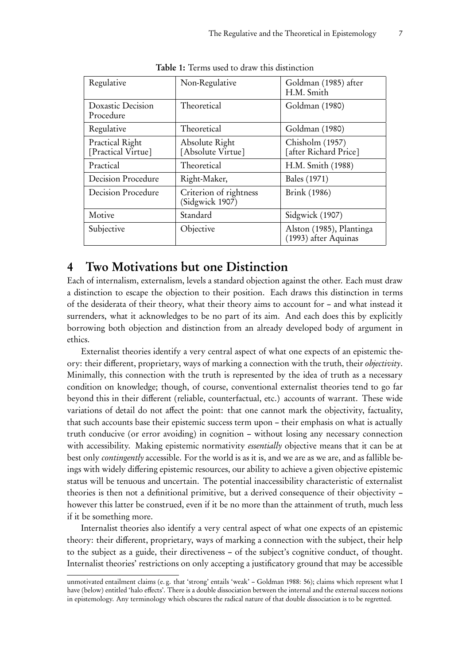| Regulative                            | Non-Regulative                            | Goldman (1985) after<br>H.M. Smith               |
|---------------------------------------|-------------------------------------------|--------------------------------------------------|
| Doxastic Decision<br>Procedure        | Theoretical                               | Goldman (1980)                                   |
| Regulative                            | Theoretical                               | Goldman (1980)                                   |
| Practical Right<br>[Practical Virtue] | Absolute Right<br>[Absolute Virtue]       | Chisholm (1957)<br>[after Richard Price]         |
| Practical                             | Theoretical                               | H.M. Smith (1988)                                |
| <b>Decision Procedure</b>             | Right-Maker,                              | Bales (1971)                                     |
| <b>Decision Procedure</b>             | Criterion of rightness<br>(Sidgwick 1907) | Brink (1986)                                     |
| Motive                                | Standard                                  | Sidgwick (1907)                                  |
| Subjective                            | Objective                                 | Alston (1985), Plantinga<br>(1993) after Aquinas |

Table 1: Terms used to draw this distinction

## 4 Two Motivations but one Distinction

Each of internalism, externalism, levels a standard objection against the other. Each must draw a distinction to escape the objection to their position. Each draws this distinction in terms of the desiderata of their theory, what their theory aims to account for – and what instead it surrenders, what it acknowledges to be no part of its aim. And each does this by explicitly borrowing both objection and distinction from an already developed body of argument in ethics.

Externalist theories identify a very central aspect of what one expects of an epistemic theory: their different, proprietary, ways of marking a connection with the truth, their *objectivity*. Minimally, this connection with the truth is represented by the idea of truth as a necessary condition on knowledge; though, of course, conventional externalist theories tend to go far beyond this in their different (reliable, counterfactual, etc.) accounts of warrant. These wide variations of detail do not affect the point: that one cannot mark the objectivity, factuality, that such accounts base their epistemic success term upon – their emphasis on what is actually truth conducive (or error avoiding) in cognition – without losing any necessary connection with accessibility. Making epistemic normativity *essentially* objective means that it can be at best only contingently accessible. For the world is as it is, and we are as we are, and as fallible beings with widely differing epistemic resources, our ability to achieve a given objective epistemic status will be tenuous and uncertain. The potential inaccessibility characteristic of externalist theories is then not a definitional primitive, but a derived consequence of their objectivity – however this latter be construed, even if it be no more than the attainment of truth, much less if it be something more.

Internalist theories also identify a very central aspect of what one expects of an epistemic theory: their different, proprietary, ways of marking a connection with the subject, their help to the subject as a guide, their directiveness – of the subject's cognitive conduct, of thought. Internalist theories' restrictions on only accepting a justificatory ground that may be accessible

unmotivated entailment claims (e. g. that 'strong' entails 'weak' – Goldman 1988: 56); claims which represent what I have (below) entitled 'halo effects'. There is a double dissociation between the internal and the external success notions in epistemology. Any terminology which obscures the radical nature of that double dissociation is to be regretted.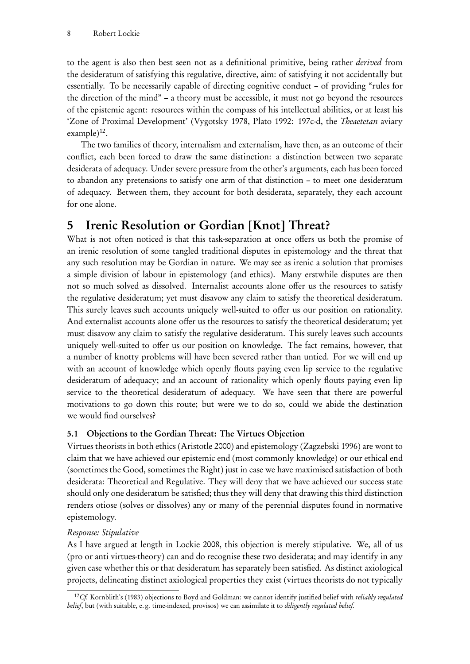to the agent is also then best seen not as a definitional primitive, being rather derived from the desideratum of satisfying this regulative, directive, aim: of satisfying it not accidentally but essentially. To be necessarily capable of directing cognitive conduct – of providing "rules for the direction of the mind" – a theory must be accessible, it must not go beyond the resources of the epistemic agent: resources within the compass of his intellectual abilities, or at least his 'Zone of Proximal Development' (Vygotsky 1978, Plato 1992: 197c-d, the Theaetetan aviary example)<sup>12</sup>.

The two families of theory, internalism and externalism, have then, as an outcome of their conflict, each been forced to draw the same distinction: a distinction between two separate desiderata of adequacy. Under severe pressure from the other's arguments, each has been forced to abandon any pretensions to satisfy one arm of that distinction – to meet one desideratum of adequacy. Between them, they account for both desiderata, separately, they each account for one alone.

# 5 Irenic Resolution or Gordian [Knot] Threat?

What is not often noticed is that this task-separation at once offers us both the promise of an irenic resolution of some tangled traditional disputes in epistemology and the threat that any such resolution may be Gordian in nature. We may see as irenic a solution that promises a simple division of labour in epistemology (and ethics). Many erstwhile disputes are then not so much solved as dissolved. Internalist accounts alone offer us the resources to satisfy the regulative desideratum; yet must disavow any claim to satisfy the theoretical desideratum. This surely leaves such accounts uniquely well-suited to offer us our position on rationality. And externalist accounts alone offer us the resources to satisfy the theoretical desideratum; yet must disavow any claim to satisfy the regulative desideratum. This surely leaves such accounts uniquely well-suited to offer us our position on knowledge. The fact remains, however, that a number of knotty problems will have been severed rather than untied. For we will end up with an account of knowledge which openly flouts paying even lip service to the regulative desideratum of adequacy; and an account of rationality which openly flouts paying even lip service to the theoretical desideratum of adequacy. We have seen that there are powerful motivations to go down this route; but were we to do so, could we abide the destination we would find ourselves?

## 5.1 Objections to the Gordian Threat: The Virtues Objection

Virtues theorists in both ethics (Aristotle 2000) and epistemology (Zagzebski 1996) are wont to claim that we have achieved our epistemic end (most commonly knowledge) or our ethical end (sometimes the Good, sometimes the Right) just in case we have maximised satisfaction of both desiderata: Theoretical and Regulative. They will deny that we have achieved our success state should only one desideratum be satisfied; thus they will deny that drawing this third distinction renders otiose (solves or dissolves) any or many of the perennial disputes found in normative epistemology.

## Response: Stipulative

As I have argued at length in Lockie 2008, this objection is merely stipulative. We, all of us (pro or anti virtues-theory) can and do recognise these two desiderata; and may identify in any given case whether this or that desideratum has separately been satisfied. As distinct axiological projects, delineating distinct axiological properties they exist (virtues theorists do not typically

 $12Cf$ . Kornblith's (1983) objections to Boyd and Goldman: we cannot identify justified belief with *reliably regulated* belief, but (with suitable, e.g. time-indexed, provisos) we can assimilate it to diligently regulated belief.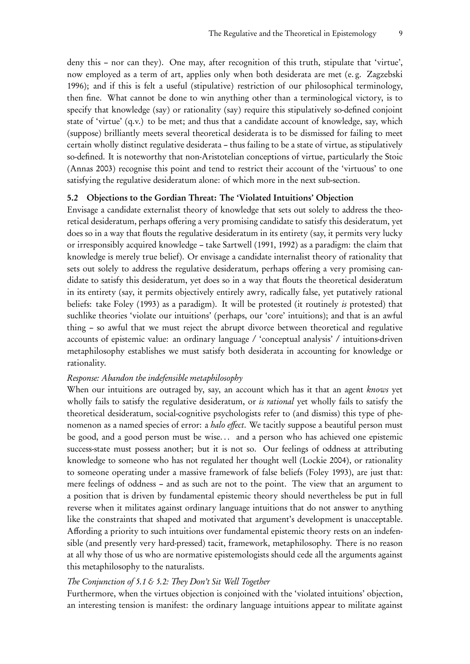deny this – nor can they). One may, after recognition of this truth, stipulate that 'virtue', now employed as a term of art, applies only when both desiderata are met (e. g. Zagzebski 1996); and if this is felt a useful (stipulative) restriction of our philosophical terminology, then fine. What cannot be done to win anything other than a terminological victory, is to specify that knowledge (say) or rationality (say) require this stipulatively so-defined conjoint state of 'virtue' (q.v.) to be met; and thus that a candidate account of knowledge, say, which (suppose) brilliantly meets several theoretical desiderata is to be dismissed for failing to meet certain wholly distinct regulative desiderata – thus failing to be a state of virtue, as stipulatively so-defined. It is noteworthy that non-Aristotelian conceptions of virtue, particularly the Stoic (Annas 2003) recognise this point and tend to restrict their account of the 'virtuous' to one satisfying the regulative desideratum alone: of which more in the next sub-section.

#### 5.2 Objections to the Gordian Threat: The 'Violated Intuitions' Objection

Envisage a candidate externalist theory of knowledge that sets out solely to address the theoretical desideratum, perhaps offering a very promising candidate to satisfy this desideratum, yet does so in a way that flouts the regulative desideratum in its entirety (say, it permits very lucky or irresponsibly acquired knowledge – take Sartwell (1991, 1992) as a paradigm: the claim that knowledge is merely true belief). Or envisage a candidate internalist theory of rationality that sets out solely to address the regulative desideratum, perhaps offering a very promising candidate to satisfy this desideratum, yet does so in a way that flouts the theoretical desideratum in its entirety (say, it permits objectively entirely awry, radically false, yet putatively rational beliefs: take Foley (1993) as a paradigm). It will be protested (it routinely is protested) that suchlike theories 'violate our intuitions' (perhaps, our 'core' intuitions); and that is an awful thing – so awful that we must reject the abrupt divorce between theoretical and regulative accounts of epistemic value: an ordinary language / 'conceptual analysis' / intuitions-driven metaphilosophy establishes we must satisfy both desiderata in accounting for knowledge or rationality.

#### Response: Abandon the indefensible metaphilosophy

When our intuitions are outraged by, say, an account which has it that an agent knows yet wholly fails to satisfy the regulative desideratum, or is rational yet wholly fails to satisfy the theoretical desideratum, social-cognitive psychologists refer to (and dismiss) this type of phenomenon as a named species of error: a *halo effect*. We tacitly suppose a beautiful person must be good, and a good person must be wise... and a person who has achieved one epistemic success-state must possess another; but it is not so. Our feelings of oddness at attributing knowledge to someone who has not regulated her thought well (Lockie 2004), or rationality to someone operating under a massive framework of false beliefs (Foley 1993), are just that: mere feelings of oddness – and as such are not to the point. The view that an argument to a position that is driven by fundamental epistemic theory should nevertheless be put in full reverse when it militates against ordinary language intuitions that do not answer to anything like the constraints that shaped and motivated that argument's development is unacceptable. Affording a priority to such intuitions over fundamental epistemic theory rests on an indefensible (and presently very hard-pressed) tacit, framework, metaphilosophy. There is no reason at all why those of us who are normative epistemologists should cede all the arguments against this metaphilosophy to the naturalists.

#### The Conjunction of 5.1 & 5.2: They Don't Sit Well Together

Furthermore, when the virtues objection is conjoined with the 'violated intuitions' objection, an interesting tension is manifest: the ordinary language intuitions appear to militate against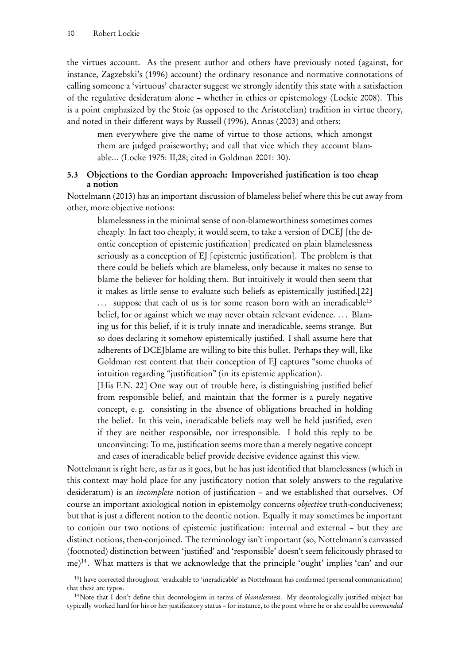the virtues account. As the present author and others have previously noted (against, for instance, Zagzebski's (1996) account) the ordinary resonance and normative connotations of calling someone a 'virtuous' character suggest we strongly identify this state with a satisfaction of the regulative desideratum alone – whether in ethics or epistemology (Lockie 2008). This is a point emphasized by the Stoic (as opposed to the Aristotelian) tradition in virtue theory, and noted in their different ways by Russell (1996), Annas (2003) and others:

men everywhere give the name of virtue to those actions, which amongst them are judged praiseworthy; and call that vice which they account blamable... (Locke 1975: II,28; cited in Goldman 2001: 30).

### 5.3 Objections to the Gordian approach: Impoverished justification is too cheap a notion

Nottelmann (2013) has an important discussion of blameless belief where this be cut away from other, more objective notions:

blamelessness in the minimal sense of non-blameworthiness sometimes comes cheaply. In fact too cheaply, it would seem, to take a version of DCEJ [the deontic conception of epistemic justification] predicated on plain blamelessness seriously as a conception of EJ [epistemic justification]. The problem is that there could be beliefs which are blameless, only because it makes no sense to blame the believer for holding them. But intuitively it would then seem that it makes as little sense to evaluate such beliefs as epistemically justified.[22] ... suppose that each of us is for some reason born with an ineradicable<sup>13</sup> belief, for or against which we may never obtain relevant evidence. ... Blaming us for this belief, if it is truly innate and ineradicable, seems strange. But so does declaring it somehow epistemically justified. I shall assume here that adherents of DCEJblame are willing to bite this bullet. Perhaps they will, like Goldman rest content that their conception of EJ captures "some chunks of intuition regarding "justification" (in its epistemic application).

[His F.N. 22] One way out of trouble here, is distinguishing justified belief from responsible belief, and maintain that the former is a purely negative concept, e. g. consisting in the absence of obligations breached in holding the belief. In this vein, ineradicable beliefs may well be held justified, even if they are neither responsible, nor irresponsible. I hold this reply to be unconvincing: To me, justification seems more than a merely negative concept and cases of ineradicable belief provide decisive evidence against this view.

Nottelmann is right here, as far as it goes, but he has just identified that blamelessness (which in this context may hold place for any justificatory notion that solely answers to the regulative desideratum) is an *incomplete* notion of justification – and we established that ourselves. Of course an important axiological notion in epistemolgy concerns objective truth-conduciveness; but that is just a different notion to the deontic notion. Equally it may sometimes be important to conjoin our two notions of epistemic justification: internal and external – but they are distinct notions, then-conjoined. The terminology isn't important (so, Nottelmann's canvassed (footnoted) distinction between 'justified' and 'responsible' doesn't seem felicitously phrased to me)14. What matters is that we acknowledge that the principle 'ought' implies 'can' and our

<sup>13</sup>I have corrected throughout 'eradicable to 'ineradicable' as Nottelmann has confirmed (personal communication) that these are typos.

<sup>&</sup>lt;sup>14</sup>Note that I don't define thin deontologism in terms of *blamelessness*. My deontologically justified subject has typically worked hard for his or her justificatory status – for instance, to the point where he or she could be commended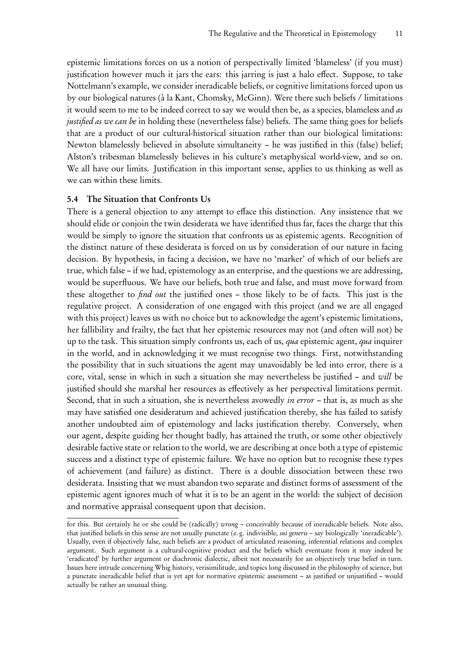epistemic limitations forces on us a notion of perspectivally limited 'blameless' (if you must) justification however much it jars the ears: this jarring is just a halo effect. Suppose, to take Nottelmann's example, we consider ineradicable beliefs, or cognitive limitations forced upon us by our biological natures (à la Kant, Chomsky, McGinn). Were there such beliefs / limitations it would seem to me to be indeed correct to say we would then be, as a species, blameless and as justified as we can be in holding these (nevertheless false) beliefs. The same thing goes for beliefs that are a product of our cultural-historical situation rather than our biological limitations: Newton blamelessly believed in absolute simultaneity – he was justified in this (false) belief; Alston's tribesman blamelessly believes in his culture's metaphysical world-view, and so on. We all have our limits. Justification in this important sense, applies to us thinking as well as we can within these limits.

#### 5.4 The Situation that Confronts Us

There is a general objection to any attempt to efface this distinction. Any insistence that we should elide or conjoin the twin desiderata we have identified thus far, faces the charge that this would be simply to ignore the situation that confronts us as epistemic agents. Recognition of the distinct nature of these desiderata is forced on us by consideration of our nature in facing decision. By hypothesis, in facing a decision, we have no 'marker' of which of our beliefs are true, which false – if we had, epistemology as an enterprise, and the questions we are addressing, would be superfluous. We have our beliefs, both true and false, and must move forward from these altogether to find out the justified ones – those likely to be of facts. This just is the regulative project. A consideration of one engaged with this project (and we are all engaged with this project) leaves us with no choice but to acknowledge the agent's epistemic limitations, her fallibility and frailty, the fact that her epistemic resources may not (and often will not) be up to the task. This situation simply confronts us, each of us, *qua* epistemic agent, *qua* inquirer in the world, and in acknowledging it we must recognise two things. First, notwithstanding the possibility that in such situations the agent may unavoidably be led into error, there is a core, vital, sense in which in such a situation she may nevertheless be justified – and will be justified should she marshal her resources as effectively as her perspectival limitations permit. Second, that in such a situation, she is nevertheless avowedly in error - that is, as much as she may have satisfied one desideratum and achieved justification thereby, she has failed to satisfy another undoubted aim of epistemology and lacks justification thereby. Conversely, when our agent, despite guiding her thought badly, has attained the truth, or some other objectively desirable factive state or relation to the world, we are describing at once both a type of epistemic success and a distinct type of epistemic failure. We have no option but to recognise these types of achievement (and failure) as distinct. There is a double dissociation between these two desiderata. Insisting that we must abandon two separate and distinct forms of assessment of the epistemic agent ignores much of what it is to be an agent in the world: the subject of decision and normative appraisal consequent upon that decision.

for this. But certainly he or she could be (radically) wrong – conceivably because of ineradicable beliefs. Note also, that justified beliefs in this sense are not usually punctate (e. g. indivisible, sui generis – say biologically 'ineradicable'). Usually, even if objectively false, such beliefs are a product of articulated reasoning, inferential relations and complex argument. Such argument is a cultural-cognitive product and the beliefs which eventuate from it may indeed be 'eradicated' by further argument or diachronic dialectic, albeit not necessarily for an objectively true belief in turn. Issues here intrude concerning Whig history, verisimilitude, and topics long discussed in the philosophy of science, but a punctate ineradicable belief that is yet apt for normative epistemic assessment – as justified or unjustified – would actually be rather an unusual thing.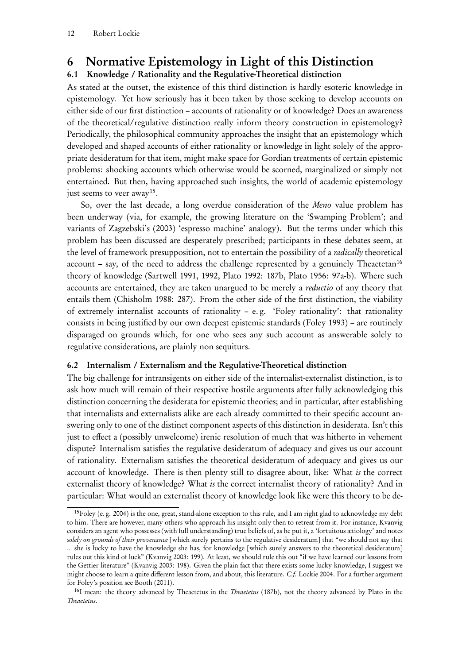# 6 Normative Epistemology in Light of this Distinction

## 6.1 Knowledge / Rationality and the Regulative-Theoretical distinction

As stated at the outset, the existence of this third distinction is hardly esoteric knowledge in epistemology. Yet how seriously has it been taken by those seeking to develop accounts on either side of our first distinction – accounts of rationality or of knowledge? Does an awareness of the theoretical/regulative distinction really inform theory construction in epistemology? Periodically, the philosophical community approaches the insight that an epistemology which developed and shaped accounts of either rationality or knowledge in light solely of the appropriate desideratum for that item, might make space for Gordian treatments of certain epistemic problems: shocking accounts which otherwise would be scorned, marginalized or simply not entertained. But then, having approached such insights, the world of academic epistemology just seems to veer away<sup>15</sup>.

So, over the last decade, a long overdue consideration of the Meno value problem has been underway (via, for example, the growing literature on the 'Swamping Problem'; and variants of Zagzebski's (2003) 'espresso machine' analogy). But the terms under which this problem has been discussed are desperately prescribed; participants in these debates seem, at the level of framework presupposition, not to entertain the possibility of a *radically* theoretical account – say, of the need to address the challenge represented by a genuinely Theaetetan<sup>16</sup> theory of knowledge (Sartwell 1991, 1992, Plato 1992: 187b, Plato 1956: 97a-b). Where such accounts are entertained, they are taken unargued to be merely a *reductio* of any theory that entails them (Chisholm 1988: 287). From the other side of the first distinction, the viability of extremely internalist accounts of rationality – e. g. 'Foley rationality': that rationality consists in being justified by our own deepest epistemic standards (Foley 1993) – are routinely disparaged on grounds which, for one who sees any such account as answerable solely to regulative considerations, are plainly non sequiturs.

## 6.2 Internalism / Externalism and the Regulative-Theoretical distinction

The big challenge for intransigents on either side of the internalist-externalist distinction, is to ask how much will remain of their respective hostile arguments after fully acknowledging this distinction concerning the desiderata for epistemic theories; and in particular, after establishing that internalists and externalists alike are each already committed to their specific account answering only to one of the distinct component aspects of this distinction in desiderata. Isn't this just to effect a (possibly unwelcome) irenic resolution of much that was hitherto in vehement dispute? Internalism satisfies the regulative desideratum of adequacy and gives us our account of rationality. Externalism satisfies the theoretical desideratum of adequacy and gives us our account of knowledge. There is then plenty still to disagree about, like: What is the correct externalist theory of knowledge? What is the correct internalist theory of rationality? And in particular: What would an externalist theory of knowledge look like were this theory to be de-

<sup>&</sup>lt;sup>15</sup>Foley (e.g. 2004) is the one, great, stand-alone exception to this rule, and I am right glad to acknowledge my debt to him. There are however, many others who approach his insight only then to retreat from it. For instance, Kvanvig considers an agent who possesses (with full understanding) true beliefs of, as he put it, a 'fortuitous ætiology' and notes solely on grounds of their provenance [which surely pertains to the regulative desideratum] that "we should not say that .. she is lucky to have the knowledge she has, for knowledge [which surely answers to the theoretical desideratum] rules out this kind of luck" (Kvanvig 2003: 199). At least, we should rule this out "if we have learned our lessons from the Gettier literature" (Kvanvig 2003: 198). Given the plain fact that there exists some lucky knowledge, I suggest we might choose to learn a quite different lesson from, and about, this literature. C.f. Lockie 2004. For a further argument for Foley's position see Booth (2011).

<sup>&</sup>lt;sup>16</sup>I mean: the theory advanced by Theaetetus in the *Theaetetus* (187b), not the theory advanced by Plato in the Theaetetus.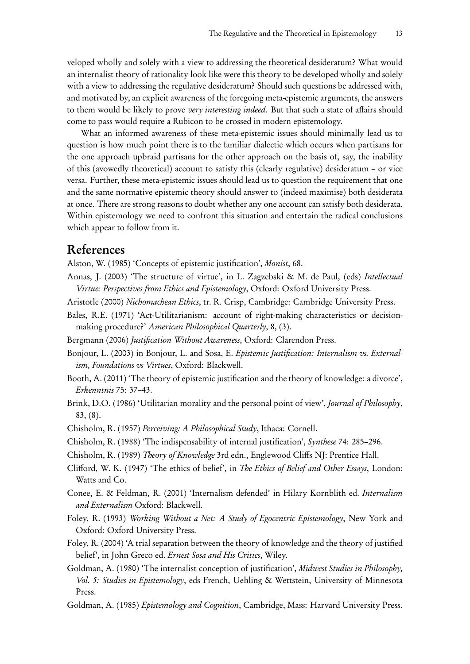veloped wholly and solely with a view to addressing the theoretical desideratum? What would an internalist theory of rationality look like were this theory to be developed wholly and solely with a view to addressing the regulative desideratum? Should such questions be addressed with, and motivated by, an explicit awareness of the foregoing meta-epistemic arguments, the answers to them would be likely to prove very interesting indeed. But that such a state of affairs should come to pass would require a Rubicon to be crossed in modern epistemology.

What an informed awareness of these meta-epistemic issues should minimally lead us to question is how much point there is to the familiar dialectic which occurs when partisans for the one approach upbraid partisans for the other approach on the basis of, say, the inability of this (avowedly theoretical) account to satisfy this (clearly regulative) desideratum – or vice versa. Further, these meta-epistemic issues should lead us to question the requirement that one and the same normative epistemic theory should answer to (indeed maximise) both desiderata at once. There are strong reasons to doubt whether any one account can satisfy both desiderata. Within epistemology we need to confront this situation and entertain the radical conclusions which appear to follow from it.

## References

Alston, W. (1985) 'Concepts of epistemic justification', Monist, 68.

- Annas, J. (2003) 'The structure of virtue', in L. Zagzebski & M. de Paul, (eds) *Intellectual* Virtue: Perspectives from Ethics and Epistemology, Oxford: Oxford University Press.
- Aristotle (2000) Nichomachean Ethics, tr. R. Crisp, Cambridge: Cambridge University Press.
- Bales, R.E. (1971) 'Act-Utilitarianism: account of right-making characteristics or decisionmaking procedure?' American Philosophical Quarterly, 8, (3).
- Bergmann (2006) Justification Without Awareness, Oxford: Clarendon Press.
- Bonjour, L. (2003) in Bonjour, L. and Sosa, E. Epistemic Justification: Internalism vs. Externalism, Foundations vs Virtues, Oxford: Blackwell.
- Booth, A. (2011) 'The theory of epistemic justification and the theory of knowledge: a divorce', Erkenntnis 75: 37–43.
- Brink, D.O. (1986) 'Utilitarian morality and the personal point of view', *Journal of Philosophy*, 83, (8).
- Chisholm, R. (1957) Perceiving: A Philosophical Study, Ithaca: Cornell.
- Chisholm, R. (1988) 'The indispensability of internal justification', Synthese 74: 285–296.
- Chisholm, R. (1989) Theory of Knowledge 3rd edn., Englewood Cliffs NJ: Prentice Hall.
- Clifford, W. K. (1947) 'The ethics of belief', in The Ethics of Belief and Other Essays, London: Watts and Co.
- Conee, E. & Feldman, R. (2001) 'Internalism defended' in Hilary Kornblith ed. Internalism and Externalism Oxford: Blackwell.
- Foley, R. (1993) Working Without a Net: A Study of Egocentric Epistemology, New York and Oxford: Oxford University Press.
- Foley, R. (2004) 'A trial separation between the theory of knowledge and the theory of justified belief', in John Greco ed. Ernest Sosa and His Critics, Wiley.
- Goldman, A. (1980) 'The internalist conception of justification', Midwest Studies in Philosophy, Vol. 5: Studies in Epistemology, eds French, Uehling & Wettstein, University of Minnesota Press.
- Goldman, A. (1985) Epistemology and Cognition, Cambridge, Mass: Harvard University Press.